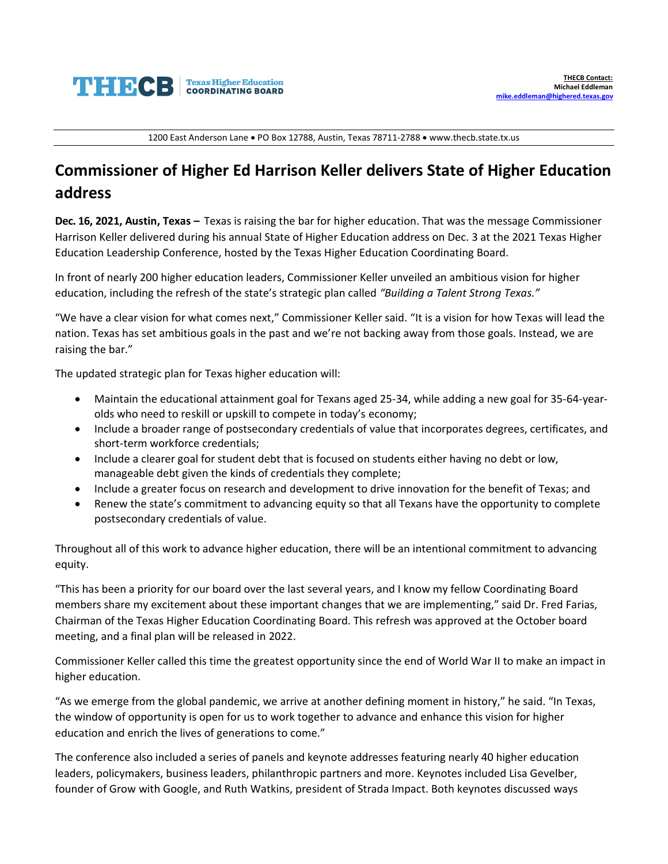

1200 East Anderson Lane • PO Box 12788, Austin, Texas 78711-2788 • www.thecb.state.tx.us

## **Commissioner of Higher Ed Harrison Keller delivers State of Higher Education address**

**Dec. 16, 2021, Austin, Texas –** Texas is raising the bar for higher education. That was the message Commissioner Harrison Keller delivered during his annual State of Higher Education address on Dec. 3 at the 2021 Texas Higher Education Leadership Conference, hosted by the Texas Higher Education Coordinating Board.

In front of nearly 200 higher education leaders, Commissioner Keller unveiled an ambitious vision for higher education, including the refresh of the state's strategic plan called *"Building a Talent Strong Texas."*

"We have a clear vision for what comes next," Commissioner Keller said. "It is a vision for how Texas will lead the nation. Texas has set ambitious goals in the past and we're not backing away from those goals. Instead, we are raising the bar."

The updated strategic plan for Texas higher education will:

- Maintain the educational attainment goal for Texans aged 25-34, while adding a new goal for 35-64-yearolds who need to reskill or upskill to compete in today's economy;
- Include a broader range of postsecondary credentials of value that incorporates degrees, certificates, and short-term workforce credentials;
- Include a clearer goal for student debt that is focused on students either having no debt or low, manageable debt given the kinds of credentials they complete;
- Include a greater focus on research and development to drive innovation for the benefit of Texas; and
- Renew the state's commitment to advancing equity so that all Texans have the opportunity to complete postsecondary credentials of value.

Throughout all of this work to advance higher education, there will be an intentional commitment to advancing equity.

"This has been a priority for our board over the last several years, and I know my fellow Coordinating Board members share my excitement about these important changes that we are implementing," said Dr. Fred Farias, Chairman of the Texas Higher Education Coordinating Board. This refresh was approved at the October board meeting, and a final plan will be released in 2022.

Commissioner Keller called this time the greatest opportunity since the end of World War II to make an impact in higher education.

"As we emerge from the global pandemic, we arrive at another defining moment in history," he said. "In Texas, the window of opportunity is open for us to work together to advance and enhance this vision for higher education and enrich the lives of generations to come."

The conference also included a series of panels and keynote addresses featuring nearly 40 higher education leaders, policymakers, business leaders, philanthropic partners and more. Keynotes included Lisa Gevelber, founder of Grow with Google, and Ruth Watkins, president of Strada Impact. Both keynotes discussed ways